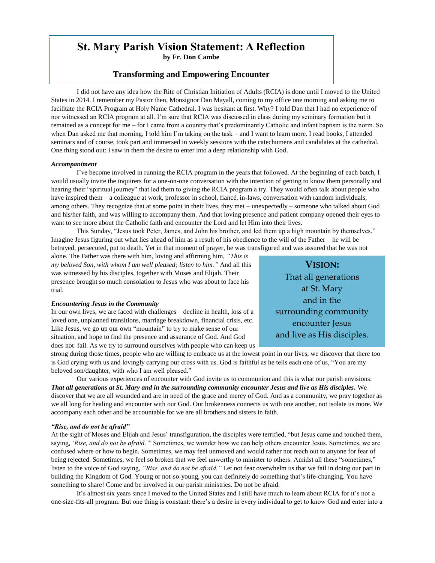# **St. Mary Parish Vision Statement: A Reflection**

**by Fr. Don Cambe**

## **Transforming and Empowering Encounter**

I did not have any idea how the Rite of Christian Initiation of Adults (RCIA) is done until I moved to the United States in 2014. I remember my Pastor then, Monsignor Dan Mayall, coming to my office one morning and asking me to facilitate the RCIA Program at Holy Name Cathedral. I was hesitant at first. Why? I told Dan that I had no experience of nor witnessed an RCIA program at all. I'm sure that RCIA was discussed in class during my seminary formation but it remained as a concept for me – for I came from a country that's predominantly Catholic and infant baptism is the norm. So when Dan asked me that morning, I told him I'm taking on the task – and I want to learn more. I read books, I attended seminars and of course, took part and immersed in weekly sessions with the catechumens and candidates at the cathedral. One thing stood out: I saw in them the desire to enter into a deep relationship with God.

#### *Accompaniment*

I've become involved in running the RCIA program in the years that followed. At the beginning of each batch, I would usually invite the inquirers for a one-on-one conversation with the intention of getting to know them personally and hearing their "spiritual journey" that led them to giving the RCIA program a try. They would often talk about people who have inspired them – a colleague at work, professor in school, fiancé, in-laws, conversation with random individuals, among others. They recognize that at some point in their lives, they met – unexpectedly – someone who talked about God and his/her faith, and was willing to accompany them. And that loving presence and patient company opened their eyes to want to see more about the Catholic faith and encounter the Lord and let Him into their lives.

This Sunday, "Jesus took Peter, James, and John his brother, and led them up a high mountain by themselves." Imagine Jesus figuring out what lies ahead of him as a result of his obedience to the will of the Father – he will be betrayed, persecuted, put to death. Yet in that moment of prayer, he was transfigured and was assured that he was not

alone. The Father was there with him, loving and affirming him, *"This is my beloved Son, with whom I am well pleased; listen to him."* And all this was witnessed by his disciples, together with Moses and Elijah. Their presence brought so much consolation to Jesus who was about to face his trial.

### *Encountering Jesus in the Community*

In our own lives, we are faced with challenges – decline in health, loss of a loved one, unplanned transitions, marriage breakdown, financial crisis, etc. Like Jesus, we go up our own "mountain" to try to make sense of our situation, and hope to find the presence and assurance of God. And God does not fail. As we try to surround ourselves with people who can keep us

**VISION:** That all generations at St. Mary and in the surrounding community encounter Jesus and live as His disciples.

. strong during those times, people who are willing to embrace us at the lowest point in our lives, we discover that there too is God crying with us and lovingly carrying our cross with us. God is faithful as he tells each one of us, "You are my beloved son/daughter, with who I am well pleased."

Our various experiences of encounter with God invite us to communion and this is what our parish envisions: *That all generations at St. Mary and in the surrounding community encounter Jesus and live as His disciples.* We discover that we are all wounded and are in need of the grace and mercy of God. And as a community, we pray together as we all long for healing and encounter with our God. Our brokenness connects us with one another, not isolate us more. We accompany each other and be accountable for we are all brothers and sisters in faith.

#### *"Rise, and do not be afraid"*

At the sight of Moses and Elijah and Jesus' transfiguration, the disciples were terrified, "but Jesus came and touched them, saying, *'Rise, and do not be afraid.'*" Sometimes, we wonder how we can help others encounter Jesus. Sometimes, we are confused where or how to begin. Sometimes, we may feel unmoved and would rather not reach out to anyone for fear of being rejected. Sometimes, we feel so broken that we feel unworthy to minister to others. Amidst all these "sometimes," listen to the voice of God saying, *"Rise, and do not be afraid."* Let not fear overwhelm us that we fail in doing our part in building the Kingdom of God. Young or not-so-young, you can definitely do something that's life-changing. You have something to share! Come and be involved in our parish ministries. Do not be afraid.

It's almost six years since I moved to the United States and I still have much to learn about RCIA for it's not a one-size-fits-all program. But one thing is constant: there's a desire in every individual to get to know God and enter into a